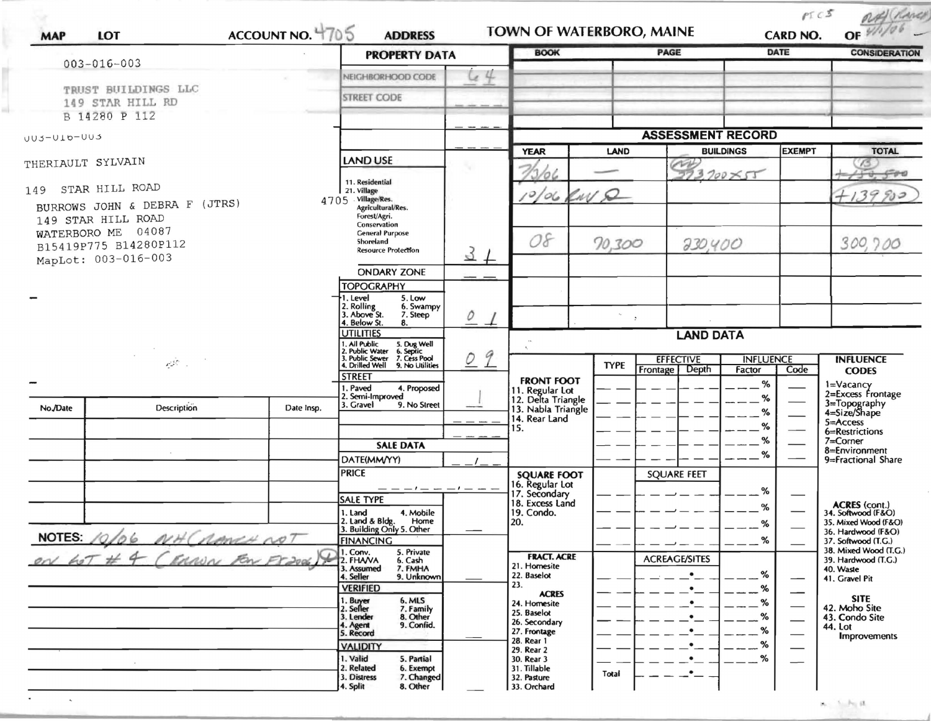| ACCOUNT NO. 4705<br><b>MAP</b><br>LOT                                                                        |                    |            | <b>ADDRESS</b><br><b>PROPERTY DATA</b>                                                                                                        |                               | TOWN OF WATERBORO, MAINE<br><b>BOOK</b>                                      |                          | PAGE                                       | DATE                | as (Raver)<br>OF<br><b>CONSIDERATION</b>                                         |
|--------------------------------------------------------------------------------------------------------------|--------------------|------------|-----------------------------------------------------------------------------------------------------------------------------------------------|-------------------------------|------------------------------------------------------------------------------|--------------------------|--------------------------------------------|---------------------|----------------------------------------------------------------------------------|
| $003 - 016 - 003$                                                                                            |                    |            | NEIGHBORHOOD CODE                                                                                                                             | 44                            |                                                                              |                          |                                            |                     |                                                                                  |
| TRUST BUILDINGS LLC<br>149 STAR HILL RD                                                                      |                    |            | <b>STREET CODE</b>                                                                                                                            |                               |                                                                              |                          |                                            |                     |                                                                                  |
|                                                                                                              | B 14280 P 112      |            |                                                                                                                                               |                               |                                                                              |                          |                                            |                     |                                                                                  |
| UU3-UI6-UU3                                                                                                  |                    |            |                                                                                                                                               |                               |                                                                              | <b>ASSESSMENT RECORD</b> |                                            |                     |                                                                                  |
| THERIAULT SYLVAIN                                                                                            |                    |            | <b>LAND USE</b>                                                                                                                               |                               | <b>YEAR</b><br>10 G                                                          | LAND                     | <b>BUILDINGS</b><br>CH,<br>$3,700\times55$ | <b>EXEMPT</b>       | <b>TOTAL</b>                                                                     |
| 149 STAR HILL ROAD<br>BURROWS JOHN & DEBRA F (JTRS)                                                          |                    |            | 11. Residential<br>21. Village<br>4705 Village/Res.                                                                                           |                               | 10/06 RWD                                                                    |                          |                                            |                     | 399                                                                              |
| 149 STAR HILL ROAD<br>04087<br>WATERBORO ME<br>B15419P775 B14280P112<br>MapLot: 003-016-003<br>الماز المحافي |                    |            | Agricultural/Res.<br>Forest/Agri.<br>Conservation<br><b>General Purpose</b><br>Shoreland<br><b>Resource Protection</b>                        | $\mathcal{E}$                 | 08                                                                           | 70,300                   | 230,400                                    |                     | 300,700                                                                          |
|                                                                                                              |                    |            | <b>ONDARY ZONE</b><br><b>TOPOGRAPHY</b><br>. Level<br>5. Low                                                                                  |                               |                                                                              |                          |                                            |                     |                                                                                  |
|                                                                                                              |                    |            | 2. Rolling<br>3. Above St.<br>6. Swampy<br>7. Steep<br>. Below St.<br>8.                                                                      | 0                             |                                                                              | $\mathcal{L}$            |                                            |                     |                                                                                  |
|                                                                                                              |                    |            | <b>UTILITIES</b><br>1. All Public 5. Dug Well<br>2. Public Water 6. Septic<br>3. Public Sewer 7. Cess Pool<br>4. Drilled Well 9. No Utilities | 9<br>$\overline{\mathcal{O}}$ |                                                                              | <b>TYPE</b>              | <b>LAND DATA</b><br><b>EFFECTIVE</b>       | <b>INFLUENCE</b>    | <b>INFLUENCE</b>                                                                 |
|                                                                                                              |                    |            | <b>STREET</b><br>. Paved<br>4. Proposed<br>2. Semi-Improved                                                                                   |                               | <b>FRONT FOOT</b><br>11. Regular Lot<br>12. Delta Triangle                   |                          | Frontage Depth                             | Factor<br>Code<br>% | <b>CODES</b><br>1=Vacancy<br>2=Excess Frontage                                   |
| No./Date                                                                                                     | <b>Description</b> | Date Insp. | 3. Gravel<br>9. No Street                                                                                                                     |                               | 13. Nabla Triangle<br>14. Rear Land<br>15.                                   |                          |                                            | %<br>%              | 3=Topography<br>4=Size/Shape<br>5=Access                                         |
|                                                                                                              |                    |            | <b>SALE DATA</b>                                                                                                                              |                               |                                                                              |                          |                                            | %                   | 6=Restrictions<br>$7 =$ Corner                                                   |
|                                                                                                              |                    |            | DATE(MM/YY)                                                                                                                                   |                               |                                                                              |                          |                                            | %                   | 8=Environment<br>9=Fractional Share                                              |
|                                                                                                              |                    |            | <b>PRICE</b>                                                                                                                                  |                               | <b>SQUARE FOOT</b><br>16. Regular Lot<br>17. Secondary                       |                          | <b>SQUARE FEET</b>                         | %                   |                                                                                  |
|                                                                                                              |                    |            | <b>SALE TYPE</b><br>1. Land<br>4. Mobile<br>2. Land & Bldg. Home<br>3. Building Only 5. Other<br>Home                                         |                               | 18. Excess Land<br>19. Condo.<br>20.                                         |                          |                                            | %<br>%              | ACRES (cont.)<br>34. Softwood (F&O)<br>35. Mixed Wood (F&O)                      |
| <b>NOTES:</b>                                                                                                |                    |            | <b>FINANCING</b>                                                                                                                              |                               |                                                                              |                          |                                            | %                   | 36. Hardwood (F&O)<br>37. Softwood (T.G.)                                        |
|                                                                                                              |                    |            | . Conv.<br>5. Private<br>2. FHAVA<br>6. Cash<br>3. Assumed<br>7. FMHA<br>4. Seller<br>9. Unknown<br><b>VERIFIED</b>                           |                               | <b>FRACT. ACRE</b><br>21. Homesite<br>22. Baselot<br>23.                     |                          | <b>ACREAGE/SITES</b>                       | %<br>%              | 38. Mixed Wood (T.G.)<br>39. Hardwood (T.G.)<br>40. Waste<br>41. Gravel Pit      |
|                                                                                                              |                    |            | 1. Buyer<br>2. Seller<br>6. MLS<br>7. Family<br>8. Other<br>3. Lender<br>9. Confid.<br>4. Agent<br>5. Record                                  |                               | <b>ACRES</b><br>24. Homesite<br>25. Baselot<br>26. Secondary<br>27. Frontage |                          |                                            |                     | <b>SITE</b><br>42. Moho Site<br>43. Condo Site<br>44. Lot<br><b>Improvements</b> |
|                                                                                                              |                    |            | <b>VALIDITY</b><br>1. Valid<br>5. Partial<br>2. Related<br>6. Exempt                                                                          |                               | 28. Rear 1<br>29. Rear 2<br>30. Rear 3<br>31. Tillable                       |                          |                                            | %<br>%              |                                                                                  |

a)